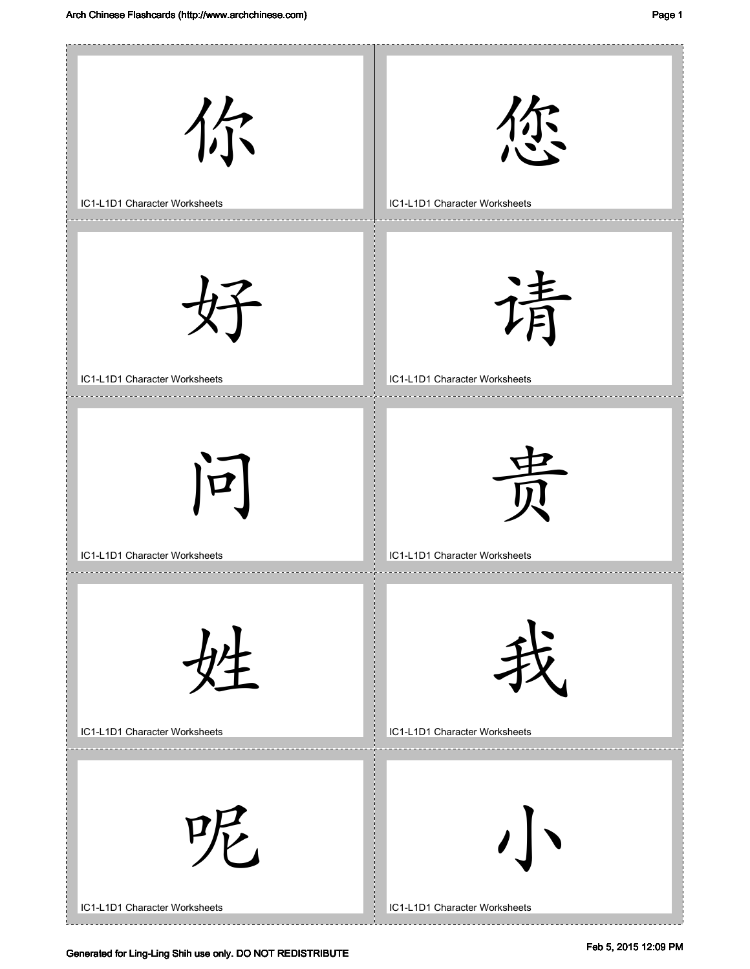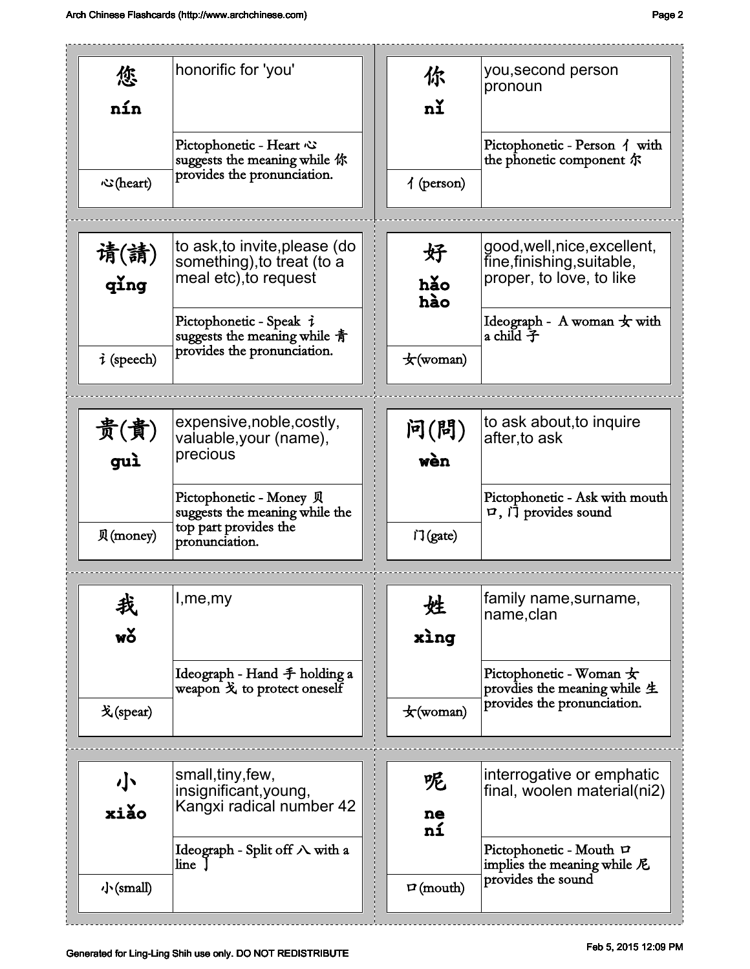| 您<br>nín               | honorific for 'you'                                                                                  | 你<br>nľ                   | you, second person<br>pronoun                                                                     |
|------------------------|------------------------------------------------------------------------------------------------------|---------------------------|---------------------------------------------------------------------------------------------------|
| 心(heart)               | Pictophonetic - Heart 心<br>suggests the meaning while 你<br>provides the pronunciation.               | $\sqrt{\text{}}$ (person) | Pictophonetic - Person 1 with<br>the phonetic component $\hat{\pi}$                               |
|                        |                                                                                                      |                           |                                                                                                   |
| 请(請)<br>qing           | to ask, to invite, please (do<br>something), to treat (to a<br>meal etc), to request                 | 好<br>hǎo<br>hào           | good, well, nice, excellent,<br>fine, finishing, suitable,<br>proper, to love, to like            |
| $\vec{\iota}$ (speech) | Pictophonetic - Speak $\dot{\imath}$<br>suggests the meaning while 青<br>provides the pronunciation.  | $\pm$ (woman)             | Ideograph - A woman $\pm$ with<br>a child 子                                                       |
|                        |                                                                                                      |                           |                                                                                                   |
| 贵(貴)<br>quì            | expensive, noble, costly,<br>valuable, your (name),<br>precious                                      | 问(問)<br>wèn               | to ask about, to inquire<br>after, to ask                                                         |
| 贝(money)               | Pictophonetic - Money 贝<br>suggests the meaning while the<br>top part provides the<br>pronunciation. | 门(gate)                   | Pictophonetic - Ask with mouth<br>$\vec{v}$ , $\vec{v}$ provides sound                            |
|                        |                                                                                                      |                           |                                                                                                   |
| 我                      | l, me, my                                                                                            | 姓                         | family name, surname,<br>name, clan                                                               |
| wŏ                     |                                                                                                      | xing                      |                                                                                                   |
| 戈(spear)               | Ideograph - Hand 手 holding a<br>weapon $\ddot{\mathbf{x}}$ to protect oneself                        | $\pm$ (woman)             | Pictophonetic - Woman $\pm$<br>provdies the meaning while 生<br>provides the pronunciation.        |
|                        |                                                                                                      |                           |                                                                                                   |
|                        |                                                                                                      |                           |                                                                                                   |
| 小<br>xiǎo              | small, tiny, few,<br>insignificant, young,<br>Kangxi radical number 42                               | 呢                         | interrogative or emphatic<br>final, woolen material(ni2)                                          |
|                        | Ideograph - Split off $\land$ with a                                                                 | ne<br>ní                  |                                                                                                   |
| 小(small)               | line                                                                                                 | $\sigma$ (mouth)          | Pictophonetic - Mouth $\bm{\mathsf{\Gamma}}$<br>implies the meaning while 尼<br>provides the sound |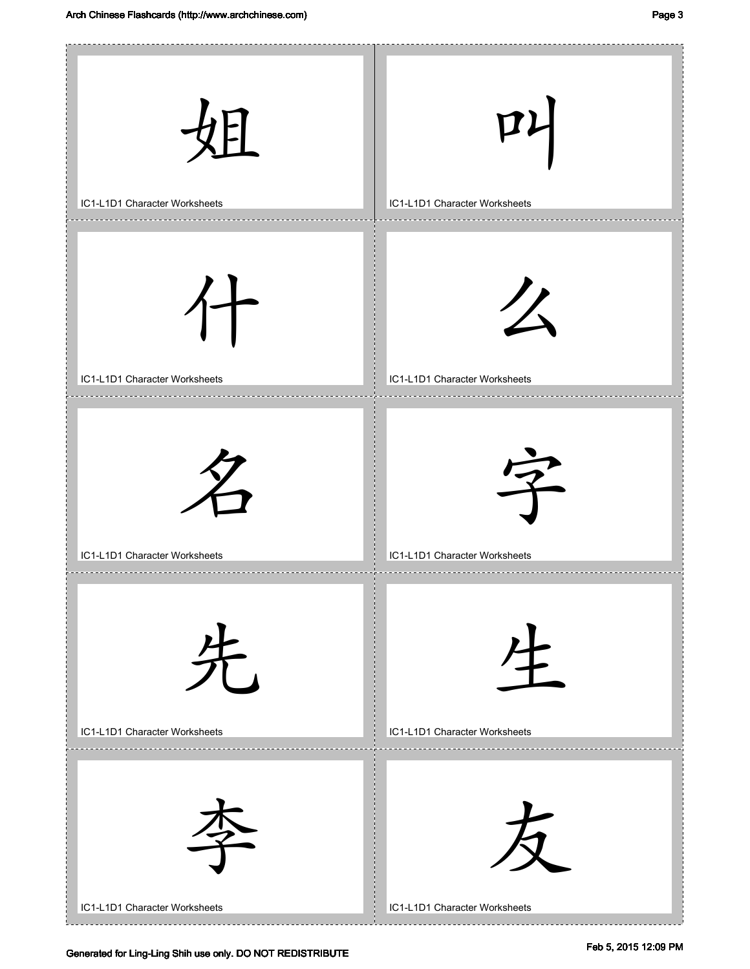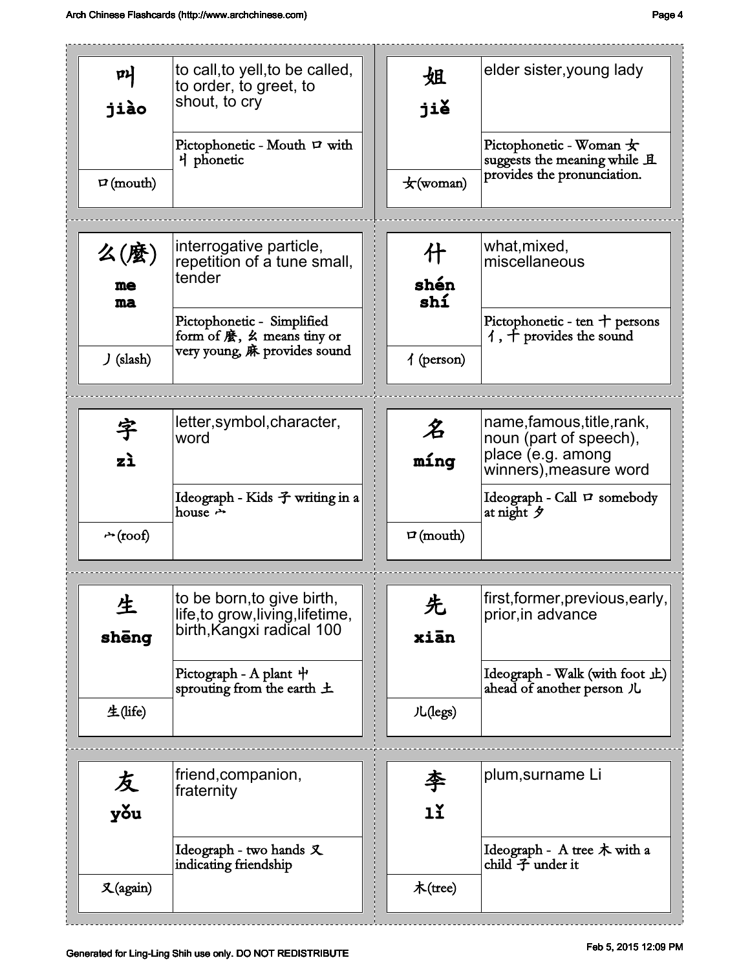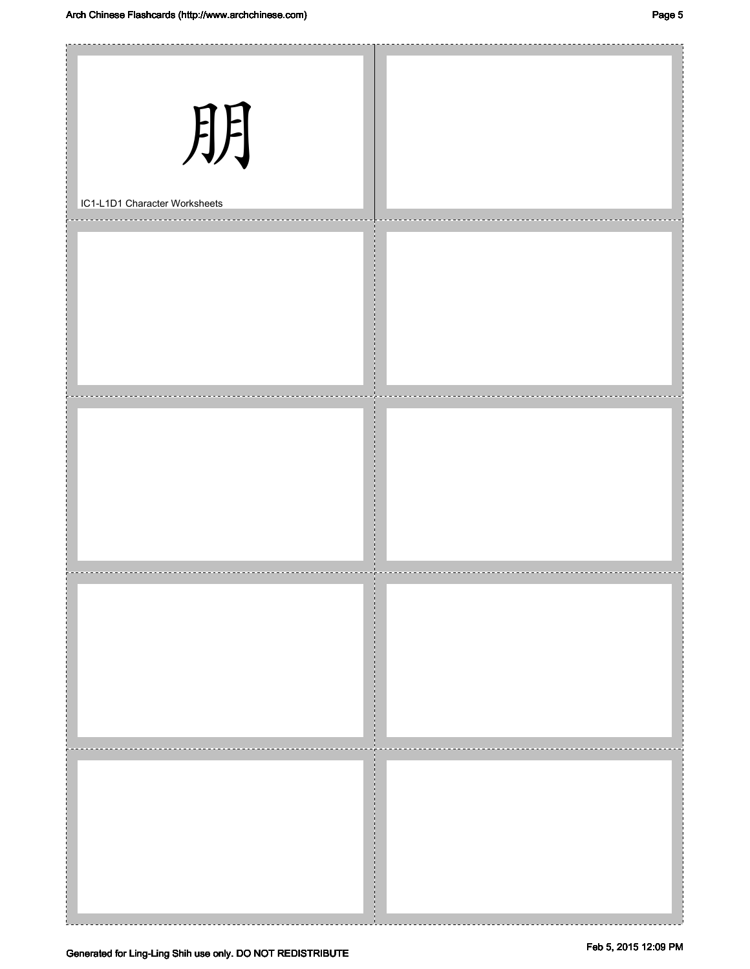| 朋<br>IC1-L1D1 Character Worksheets        |              |
|-------------------------------------------|--------------|
|                                           |              |
|                                           |              |
| N<br>I<br>и<br>n,<br>U,<br>U,<br><b>D</b> |              |
| J.<br>п<br>и<br>n,<br>J.<br>п             | ڪي<br>99 o p |